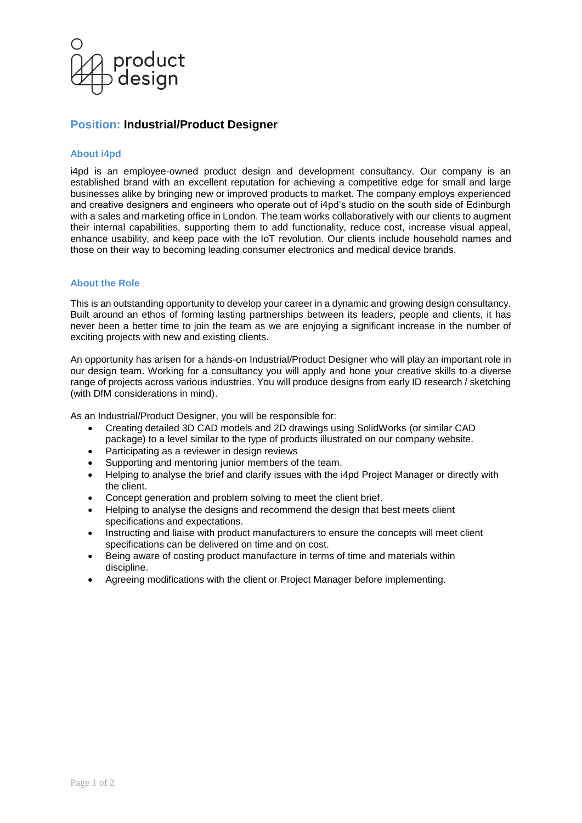

# **Position: Industrial/Product Designer**

# **About i4pd**

i4pd is an employee-owned product design and development consultancy. Our company is an established brand with an excellent reputation for achieving a competitive edge for small and large businesses alike by bringing new or improved products to market. The company employs experienced and creative designers and engineers who operate out of i4pd's studio on the south side of Edinburgh with a sales and marketing office in London. The team works collaboratively with our clients to augment their internal capabilities, supporting them to add functionality, reduce cost, increase visual appeal, enhance usability, and keep pace with the IoT revolution. Our clients include household names and those on their way to becoming leading consumer electronics and medical device brands.

# **About the Role**

This is an outstanding opportunity to develop your career in a dynamic and growing design consultancy. Built around an ethos of forming lasting partnerships between its leaders, people and clients, it has never been a better time to join the team as we are enjoying a significant increase in the number of exciting projects with new and existing clients.

An opportunity has arisen for a hands-on Industrial/Product Designer who will play an important role in our design team. Working for a consultancy you will apply and hone your creative skills to a diverse range of projects across various industries. You will produce designs from early ID research / sketching (with DfM considerations in mind).

As an Industrial/Product Designer, you will be responsible for:

- Creating detailed 3D CAD models and 2D drawings using SolidWorks (or similar CAD package) to a level similar to the type of products illustrated on our company website.
- Participating as a reviewer in design reviews
- Supporting and mentoring junior members of the team.
- Helping to analyse the brief and clarify issues with the i4pd Project Manager or directly with the client.
- Concept generation and problem solving to meet the client brief.
- Helping to analyse the designs and recommend the design that best meets client specifications and expectations.
- Instructing and liaise with product manufacturers to ensure the concepts will meet client specifications can be delivered on time and on cost.
- Being aware of costing product manufacture in terms of time and materials within discipline.
- Agreeing modifications with the client or Project Manager before implementing.